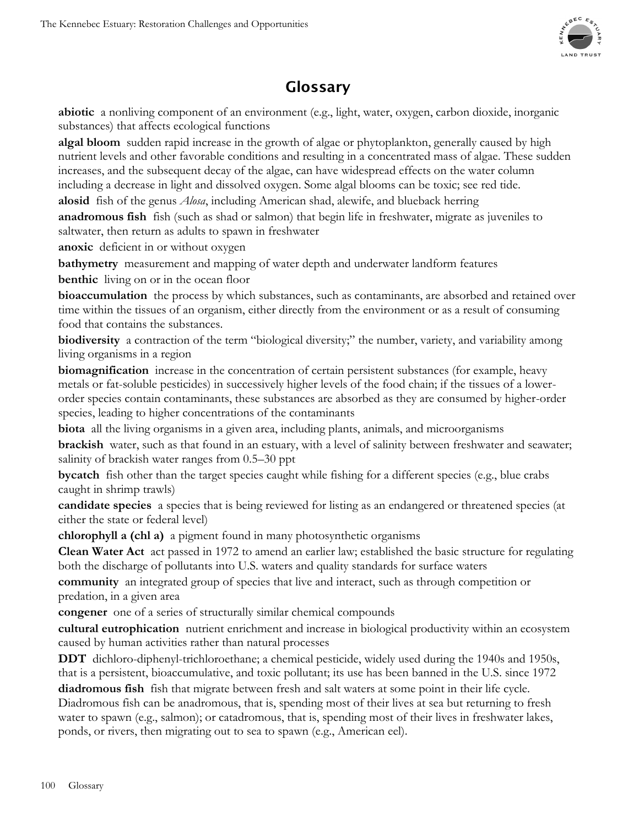

# **Glossary**

**abiotic** a nonliving component of an environment (e.g., light, water, oxygen, carbon dioxide, inorganic substances) that affects ecological functions

**algal bloom** sudden rapid increase in the growth of algae or phytoplankton, generally caused by high nutrient levels and other favorable conditions and resulting in a concentrated mass of algae. These sudden increases, and the subsequent decay of the algae, can have widespread effects on the water column including a decrease in light and dissolved oxygen. Some algal blooms can be toxic; see red tide. **alosid** fish of the genus *Alosa*, including American shad, alewife, and blueback herring

**anadromous fish** fish (such as shad or salmon) that begin life in freshwater, migrate as juveniles to saltwater, then return as adults to spawn in freshwater

**anoxic** deficient in or without oxygen

**bathymetry** measurement and mapping of water depth and underwater landform features **benthic** living on or in the ocean floor

**bioaccumulation** the process by which substances, such as contaminants, are absorbed and retained over time within the tissues of an organism, either directly from the environment or as a result of consuming food that contains the substances.

**biodiversity** a contraction of the term "biological diversity;" the number, variety, and variability among living organisms in a region

**biomagnification** increase in the concentration of certain persistent substances (for example, heavy metals or fat-soluble pesticides) in successively higher levels of the food chain; if the tissues of a lowerorder species contain contaminants, these substances are absorbed as they are consumed by higher-order species, leading to higher concentrations of the contaminants

**biota** all the living organisms in a given area, including plants, animals, and microorganisms

**brackish** water, such as that found in an estuary, with a level of salinity between freshwater and seawater; salinity of brackish water ranges from 0.5–30 ppt

**bycatch** fish other than the target species caught while fishing for a different species (e.g., blue crabs caught in shrimp trawls)

**candidate species** a species that is being reviewed for listing as an endangered or threatened species (at either the state or federal level)

**chlorophyll a (chl a)** a pigment found in many photosynthetic organisms

**Clean Water Act** act passed in 1972 to amend an earlier law; established the basic structure for regulating both the discharge of pollutants into U.S. waters and quality standards for surface waters

**community** an integrated group of species that live and interact, such as through competition or predation, in a given area

**congener** one of a series of structurally similar chemical compounds

**cultural eutrophication** nutrient enrichment and increase in biological productivity within an ecosystem caused by human activities rather than natural processes

**DDT** dichloro-diphenyl-trichloroethane; a chemical pesticide, widely used during the 1940s and 1950s, that is a persistent, bioaccumulative, and toxic pollutant; its use has been banned in the U.S. since 1972

**diadromous fish** fish that migrate between fresh and salt waters at some point in their life cycle. Diadromous fish can be anadromous, that is, spending most of their lives at sea but returning to fresh water to spawn (e.g., salmon); or catadromous, that is, spending most of their lives in freshwater lakes, ponds, or rivers, then migrating out to sea to spawn (e.g., American eel).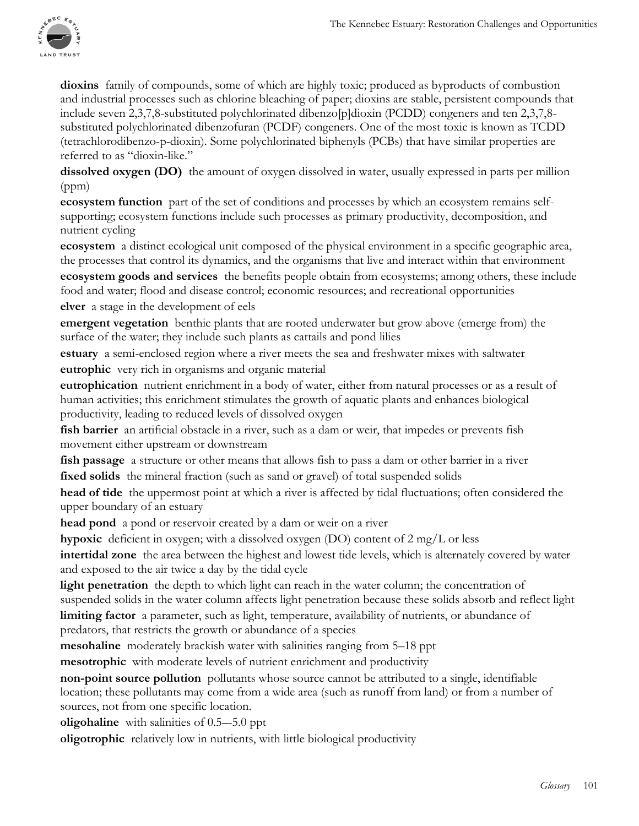**dioxins** family of compounds, some of which are highly toxic; produced as byproducts of combustion and industrial processes such as chlorine bleaching of paper; dioxins are stable, persistent compounds that include seven 2,3,7,8-substituted polychlorinated dibenzo[p]dioxin (PCDD) congeners and ten 2,3,7,8 substituted polychlorinated dibenzofuran (PCDF) congeners. One of the most toxic is known as TCDD (tetrachlorodibenzo-p-dioxin). Some polychlorinated biphenyls (PCBs) that have similar properties are referred to as "dioxin-like."

**dissolved oxygen (DO)** the amount of oxygen dissolved in water, usually expressed in parts per million (ppm)

**ecosystem function** part of the set of conditions and processes by which an ecosystem remains selfsupporting; ecosystem functions include such processes as primary productivity, decomposition, and nutrient cycling

**ecosystem** a distinct ecological unit composed of the physical environment in a specific geographic area, the processes that control its dynamics, and the organisms that live and interact within that environment **ecosystem goods and services** the benefits people obtain from ecosystems; among others, these include

food and water; flood and disease control; economic resources; and recreational opportunities **elver** a stage in the development of eels

**emergent vegetation** benthic plants that are rooted underwater but grow above (emerge from) the surface of the water; they include such plants as cattails and pond lilies

**estuary** a semi-enclosed region where a river meets the sea and freshwater mixes with saltwater **eutrophic** very rich in organisms and organic material

**eutrophication** nutrient enrichment in a body of water, either from natural processes or as a result of human activities; this enrichment stimulates the growth of aquatic plants and enhances biological productivity, leading to reduced levels of dissolved oxygen

fish barrier an artificial obstacle in a river, such as a dam or weir, that impedes or prevents fish movement either upstream or downstream

**fish passage** a structure or other means that allows fish to pass a dam or other barrier in a river **fixed solids** the mineral fraction (such as sand or gravel) of total suspended solids

**head of tide** the uppermost point at which a river is affected by tidal fluctuations; often considered the upper boundary of an estuary

**head pond** a pond or reservoir created by a dam or weir on a river

**hypoxic** deficient in oxygen; with a dissolved oxygen (DO) content of 2 mg/L or less

**intertidal zone** the area between the highest and lowest tide levels, which is alternately covered by water and exposed to the air twice a day by the tidal cycle

**light penetration** the depth to which light can reach in the water column; the concentration of suspended solids in the water column affects light penetration because these solids absorb and reflect light

**limiting factor** a parameter, such as light, temperature, availability of nutrients, or abundance of predators, that restricts the growth or abundance of a species

**mesohaline** moderately brackish water with salinities ranging from 5–18 ppt

**mesotrophic** with moderate levels of nutrient enrichment and productivity

**non-point source pollution** pollutants whose source cannot be attributed to a single, identifiable location; these pollutants may come from a wide area (such as runoff from land) or from a number of sources, not from one specific location.

**oligohaline** with salinities of 0.5–-5.0 ppt

**oligotrophic** relatively low in nutrients, with little biological productivity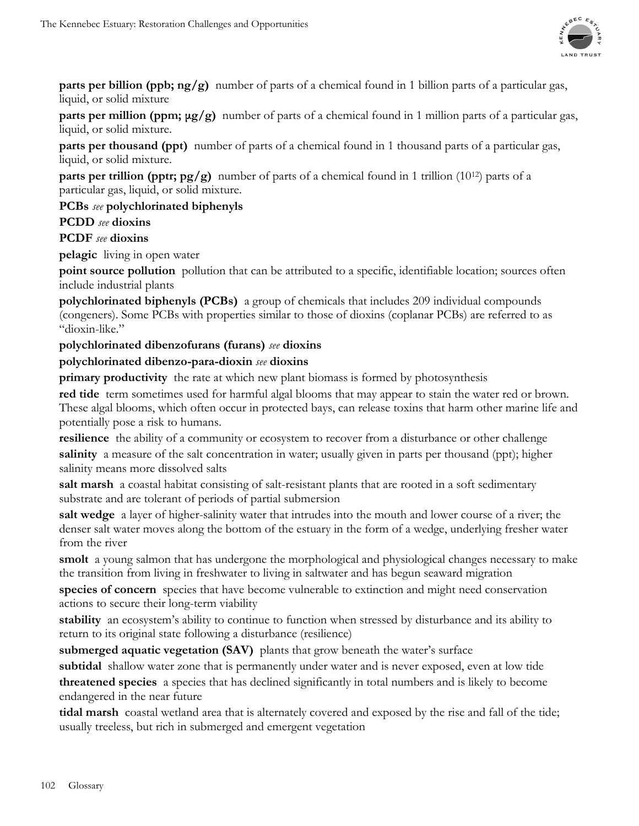

**parts per billion (ppb; ng/g)** number of parts of a chemical found in 1 billion parts of a particular gas, liquid, or solid mixture

**parts per million (ppm; μg/g)** number of parts of a chemical found in 1 million parts of a particular gas, liquid, or solid mixture.

**parts per thousand (ppt)** number of parts of a chemical found in 1 thousand parts of a particular gas, liquid, or solid mixture.

**parts per trillion (pptr; pg/g)** number of parts of a chemical found in 1 trillion (10<sup>12</sup>) parts of a particular gas, liquid, or solid mixture.

**PCBs** *see* **polychlorinated biphenyls**

## **PCDD** *see* **dioxins**

## **PCDF** *see* **dioxins**

**pelagic** living in open water

**point source pollution** pollution that can be attributed to a specific, identifiable location; sources often include industrial plants

**polychlorinated biphenyls (PCBs)** a group of chemicals that includes 209 individual compounds (congeners). Some PCBs with properties similar to those of dioxins (coplanar PCBs) are referred to as "dioxin-like."

### **polychlorinated dibenzofurans (furans)** *see* **dioxins**

### **polychlorinated dibenzo-para-dioxin** *see* **dioxins**

**primary productivity** the rate at which new plant biomass is formed by photosynthesis

**red tide** term sometimes used for harmful algal blooms that may appear to stain the water red or brown. These algal blooms, which often occur in protected bays, can release toxins that harm other marine life and potentially pose a risk to humans.

**resilience** the ability of a community or ecosystem to recover from a disturbance or other challenge **salinity** a measure of the salt concentration in water; usually given in parts per thousand (ppt); higher salinity means more dissolved salts

**salt marsh** a coastal habitat consisting of salt-resistant plants that are rooted in a soft sedimentary substrate and are tolerant of periods of partial submersion

**salt wedge** a layer of higher-salinity water that intrudes into the mouth and lower course of a river; the denser salt water moves along the bottom of the estuary in the form of a wedge, underlying fresher water from the river

**smolt** a young salmon that has undergone the morphological and physiological changes necessary to make the transition from living in freshwater to living in saltwater and has begun seaward migration

**species of concern** species that have become vulnerable to extinction and might need conservation actions to secure their long-term viability

**stability** an ecosystem's ability to continue to function when stressed by disturbance and its ability to return to its original state following a disturbance (resilience)

**submerged aquatic vegetation (SAV)** plants that grow beneath the water's surface

**subtidal** shallow water zone that is permanently under water and is never exposed, even at low tide **threatened species** a species that has declined significantly in total numbers and is likely to become endangered in the near future

**tidal marsh** coastal wetland area that is alternately covered and exposed by the rise and fall of the tide; usually treeless, but rich in submerged and emergent vegetation